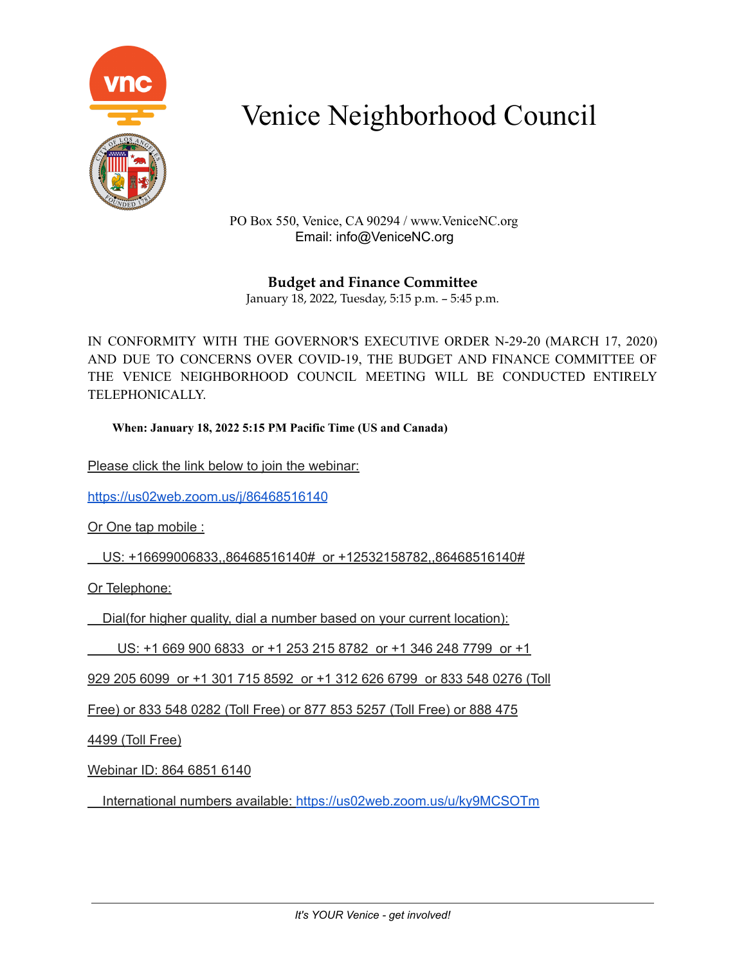

PO Box 550, Venice, CA 90294 / www.VeniceNC.org Email: info@VeniceNC.org

**Budget and Finance Committee** January 18, 2022, Tuesday, 5:15 p.m. – 5:45 p.m.

IN CONFORMITY WITH THE GOVERNOR'S EXECUTIVE ORDER N-29-20 (MARCH 17, 2020) AND DUE TO CONCERNS OVER COVID-19, THE BUDGET AND FINANCE COMMITTEE OF THE VENICE NEIGHBORHOOD COUNCIL MEETING WILL BE CONDUCTED ENTIRELY TELEPHONICALLY.

**When: January 18, 2022 5:15 PM Pacific Time (US and Canada)**

Please click the link below to join the webinar:

<https://us02web.zoom.us/j/86468516140>

Or One tap mobile :

US: +16699006833,,86468516140# or +12532158782,,86468516140#

Or Telephone:

Dial(for higher quality, dial a number based on your current location):

US: +1 669 900 6833 or +1 253 215 8782 or +1 346 248 7799 or +1

929 205 6099 or +1 301 715 8592 or +1 312 626 6799 or 833 548 0276 (Toll

Free) or 833 548 0282 (Toll Free) or 877 853 5257 (Toll Free) or 888 475

4499 (Toll Free)

Webinar ID: 864 6851 6140

International numbers available: <https://us02web.zoom.us/u/ky9MCSOTm>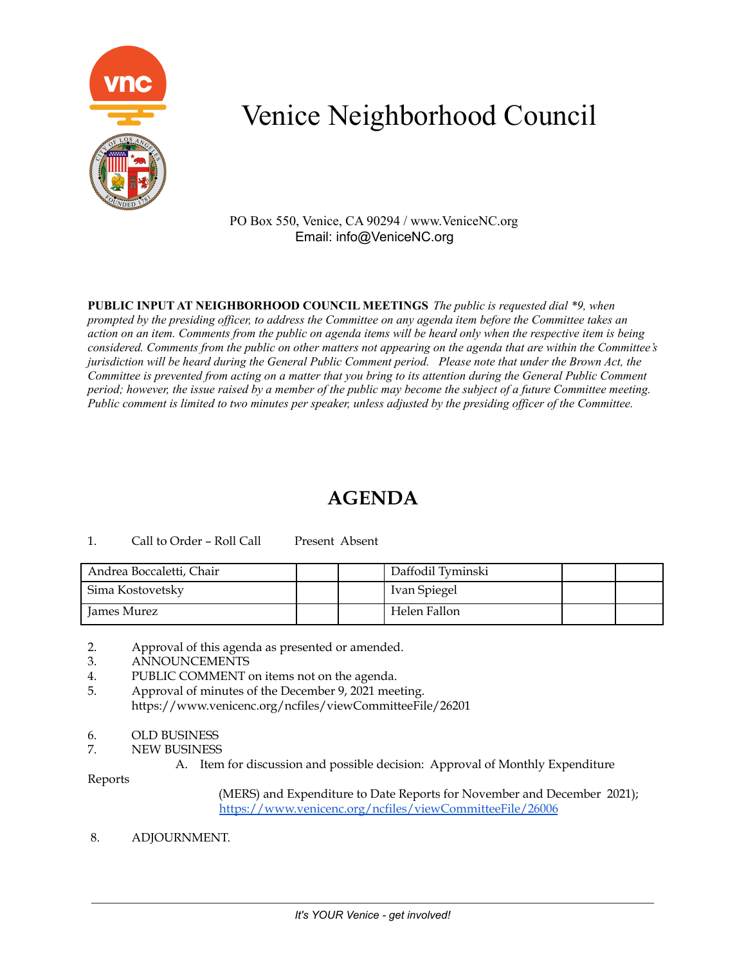

PO Box 550, Venice, CA 90294 / www.VeniceNC.org Email: info@VeniceNC.org

**PUBLIC INPUT AT NEIGHBORHOOD COUNCIL MEETINGS** *The public is requested dial \*9, when* prompted by the presiding officer, to address the Committee on any agenda item before the Committee takes an action on an item. Comments from the public on agenda items will be heard only when the respective item is being considered. Comments from the public on other matters not appearing on the agenda that are within the Committee's jurisdiction will be heard during the General Public Comment period. Please note that under the Brown Act, the Committee is prevented from acting on a matter that you bring to its attention during the General Public Comment period; however, the issue raised by a member of the public may become the subject of a future Committee meeting. Public comment is limited to two minutes per speaker, unless adjusted by the presiding officer of the Committee.

### **AGENDA**

### 1. Call to Order – Roll Call Present Absent

| Andrea Boccaletti, Chair |  | Daffodil Tyminski |  |
|--------------------------|--|-------------------|--|
| Sima Kostovetsky         |  | Ivan Spiegel      |  |
| James Murez              |  | Helen Fallon      |  |

2. Approval of this agenda as presented or amended.

- 3. ANNOUNCEMENTS
- 4. PUBLIC COMMENT on items not on the agenda.
- 5. Approval of minutes of the December 9, 2021 meeting. https://www.venicenc.org/ncfiles/viewCommitteeFile/26201
- 6. OLD BUSINESS
- 7. NEW BUSINESS

A. Item for discussion and possible decision: Approval of Monthly Expenditure

Reports

(MERS) and Expenditure to Date Reports for November and December 2021); <https://www.venicenc.org/ncfiles/viewCommitteeFile/26006>

8. ADJOURNMENT.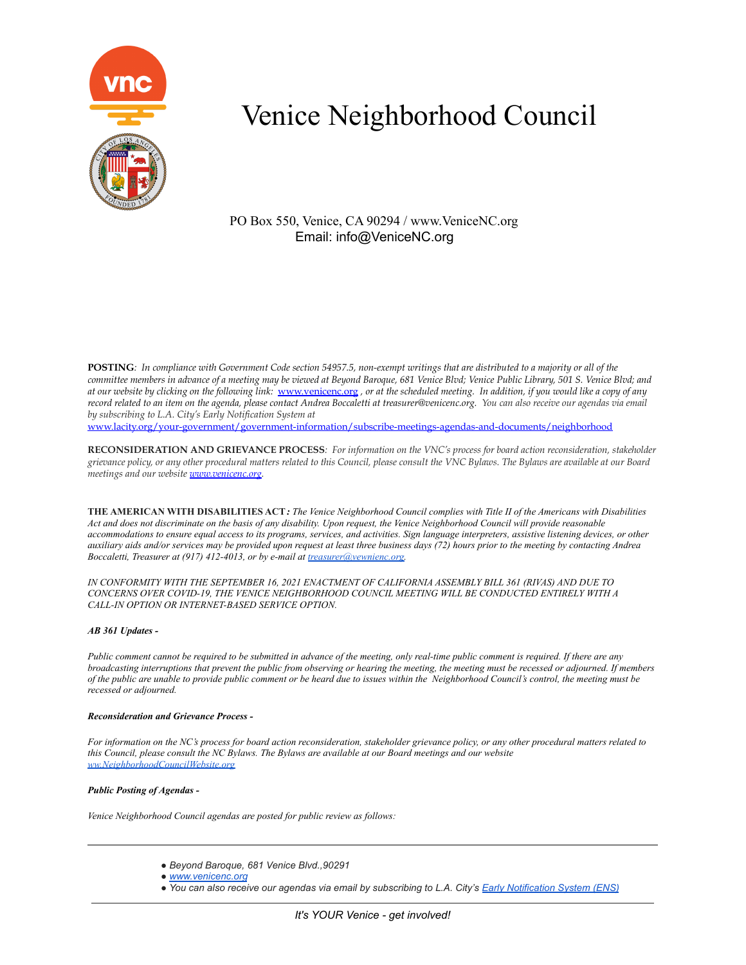

PO Box 550, Venice, CA 90294 / www.VeniceNC.org Email: info@VeniceNC.org

POSTING: In compliance with Government Code section 54957.5, non-exempt writings that are distributed to a majority or all of the committee members in advance of a meeting may be viewed at Beyond Baroque, 681 Venice Blvd; Venice Public Library, 501 S. Venice Blvd; and at our website by clicking on the following link: [www.venicenc.org](http://www.venicenc.org), or at the scheduled meeting. In addition, if you would like a copy of any record related to an item on the agenda, please contact Andrea Boccaletti at treasurer@venicenc.org. You can also receive our agendas via email *by subscribing to L.A. City's Early Notification System at* [www.lacity.org/your-government/government-information/subscribe-meetings-agendas-and-documents/neighborhood](http://www.lacity.org/your-government/government-information/subscribe-meetings-agendas-and-documents/neighborhood)

RECONSIDERATION AND GRIEVANCE PROCESS: For information on the VNC's process for board action reconsideration, stakeholder grievance policy, or any other procedural matters related to this Council, please consult the VNC Bylaws. The Bylaws are available at our Board *meetings and our website [www.venicenc.org.](http://www.venicenc.org)*

THE AMERICAN WITH DISABILITIES ACT: The Venice Neighborhood Council complies with Title II of the Americans with Disabilities Act and does not discriminate on the basis of any disability. Upon request, the Venice Neighborhood Council will provide reasonable accommodations to ensure equal access to its programs, services, and activities. Sign language interpreters, assistive listening devices, or other auxiliary aids and/or services may be provided upon request at least three business days (72) hours prior to the meeting by contacting Andrea *Boccaletti, Treasurer at (917) 412-4013, or by e-mail at [treasurer@vewnienc.org.](mailto:treasurer@vewnienc.org)*

*IN CONFORMITY WITH THE SEPTEMBER 16, 2021 ENACTMENT OF CALIFORNIA ASSEMBLY BILL 361 (RIVAS) AND DUE TO CONCERNS OVER COVID-19, THE VENICE NEIGHBORHOOD COUNCIL MEETING WILL BE CONDUCTED ENTIRELY WITH A CALL-IN OPTION OR INTERNET-BASED SERVICE OPTION.*

#### *AB 361 Updates -*

Public comment cannot be required to be submitted in advance of the meeting, only real-time public comment is required. If there are any broadcasting interruptions that prevent the public from observing or hearing the meeting, the meeting must be recessed or adjourned. If members of the public are unable to provide public comment or be heard due to issues within the Neighborhood Council's control, the meeting must be *recessed or adjourned.*

#### *Reconsideration and Grievance Process -*

For information on the NC's process for board action reconsideration, stakeholder grievance policy, or any other procedural matters related to this Council, please consult the NC Bylaws. The Bylaws are available at our Board meetings and our website *[ww.NeighborhoodCouncilWebsite.org](http://ww.neighborhoodcouncilwebsite.org/)*

#### *Public Posting of Agendas -*

*Venice Neighborhood Council agendas are posted for public review as follows:*

- *● Beyond Baroque, 681 Venice Blvd.,90291*
- *● [www.venicenc.o](http://www.neighborhoodcouncilwebsite.com/)rg*
- . You can also receive our agendas via email by subscribing to L.A. City's Early [Notification](https://www.lacity.org/government/subscribe-agendasnotifications/neighborhood-councils) System (ENS)